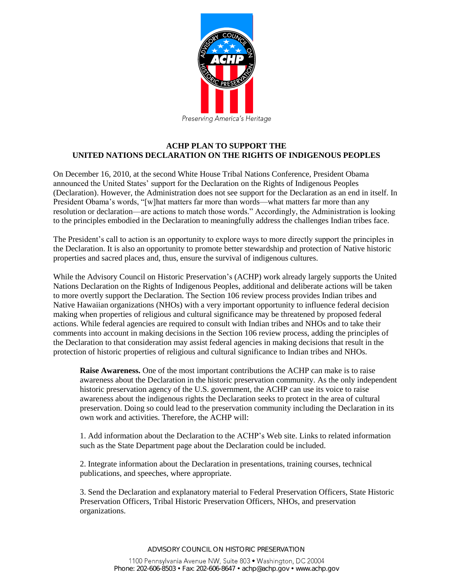

## **ACHP PLAN TO SUPPORT THE UNITED NATIONS DECLARATION ON THE RIGHTS OF INDIGENOUS PEOPLES**

On December 16, 2010, at the second White House Tribal Nations Conference, President Obama announced the United States' support for the Declaration on the Rights of Indigenous Peoples (Declaration). However, the Administration does not see support for the Declaration as an end in itself. In President Obama's words, "[w]hat matters far more than words—what matters far more than any resolution or declaration—are actions to match those words." Accordingly, the Administration is looking to the principles embodied in the Declaration to meaningfully address the challenges Indian tribes face.

The President's call to action is an opportunity to explore ways to more directly support the principles in the Declaration. It is also an opportunity to promote better stewardship and protection of Native historic properties and sacred places and, thus, ensure the survival of indigenous cultures.

While the Advisory Council on Historic Preservation's (ACHP) work already largely supports the United Nations Declaration on the Rights of Indigenous Peoples, additional and deliberate actions will be taken to more overtly support the Declaration. The Section 106 review process provides Indian tribes and Native Hawaiian organizations (NHOs) with a very important opportunity to influence federal decision making when properties of religious and cultural significance may be threatened by proposed federal actions. While federal agencies are required to consult with Indian tribes and NHOs and to take their comments into account in making decisions in the Section 106 review process, adding the principles of the Declaration to that consideration may assist federal agencies in making decisions that result in the protection of historic properties of religious and cultural significance to Indian tribes and NHOs.

**Raise Awareness.** One of the most important contributions the ACHP can make is to raise awareness about the Declaration in the historic preservation community. As the only independent historic preservation agency of the U.S. government, the ACHP can use its voice to raise awareness about the indigenous rights the Declaration seeks to protect in the area of cultural preservation. Doing so could lead to the preservation community including the Declaration in its own work and activities. Therefore, the ACHP will:

1. Add information about the Declaration to the ACHP's Web site. Links to related information such as the State Department page about the Declaration could be included.

2. Integrate information about the Declaration in presentations, training courses, technical publications, and speeches, where appropriate.

3. Send the Declaration and explanatory material to Federal Preservation Officers, State Historic Preservation Officers, Tribal Historic Preservation Officers, NHOs, and preservation organizations.

ADVISORY COUNCIL ON HISTORIC PRESERVATION